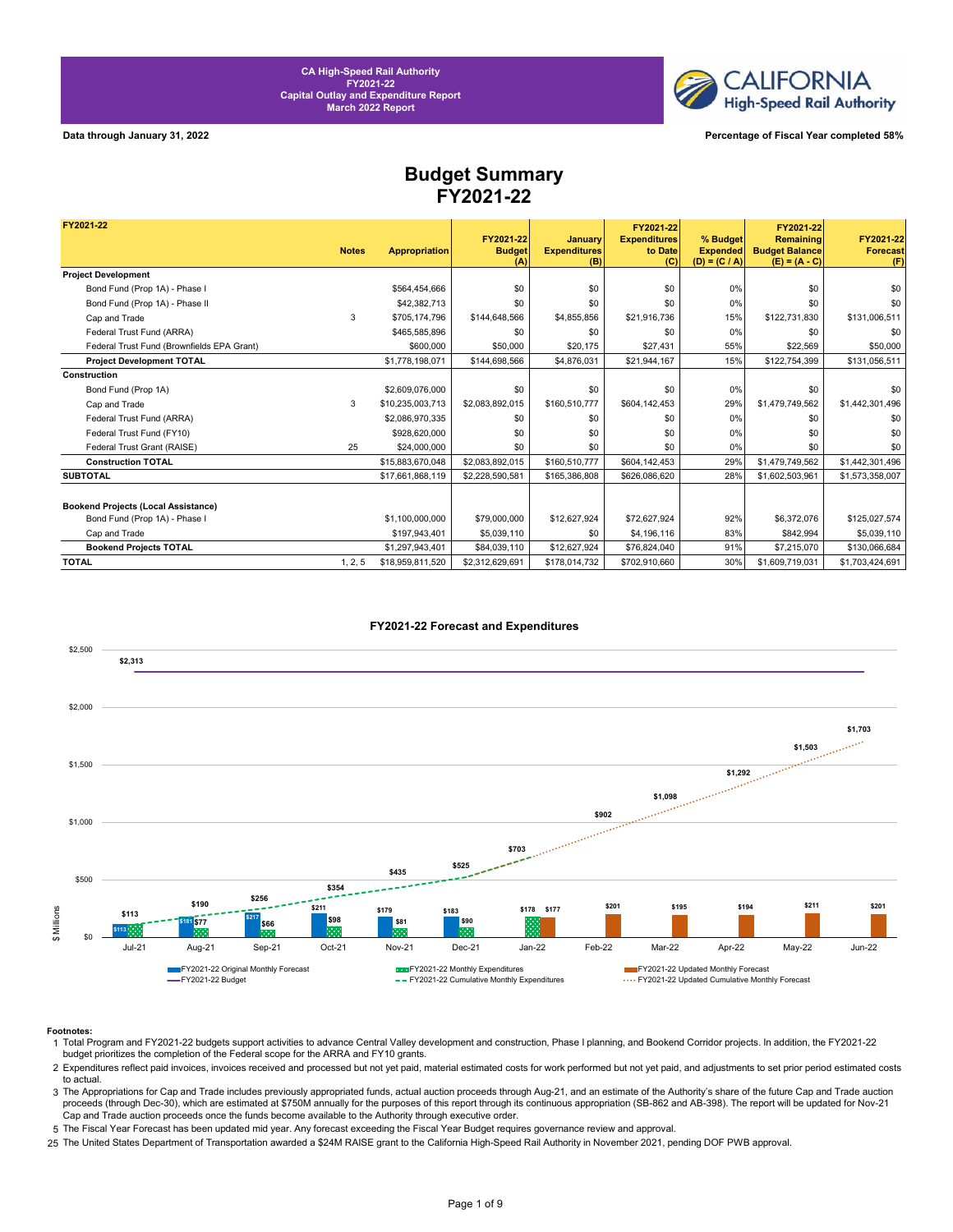

**Data through January 31, 2022 Percentage of Fiscal Year completed 58%**

### **Budget Summary FY2021-22**

| FY2021-22                                  |              |                      |                                   |                                       | FY2021-22                             |                                                | FY2021-22                                             |                                     |
|--------------------------------------------|--------------|----------------------|-----------------------------------|---------------------------------------|---------------------------------------|------------------------------------------------|-------------------------------------------------------|-------------------------------------|
|                                            | <b>Notes</b> | <b>Appropriation</b> | FY2021-22<br><b>Budget</b><br>(A) | January<br><b>Expenditures</b><br>(B) | <b>Expenditures</b><br>to Date<br>(C) | % Budget<br><b>Expended</b><br>$(D) = (C / A)$ | Remaining<br><b>Budget Balance</b><br>$(E) = (A - C)$ | FY2021-22<br><b>Forecast</b><br>(F) |
| <b>Project Development</b>                 |              |                      |                                   |                                       |                                       |                                                |                                                       |                                     |
| Bond Fund (Prop 1A) - Phase I              |              | \$564,454,666        | \$0                               | \$0                                   | \$0                                   | 0%                                             | \$0                                                   | \$0                                 |
| Bond Fund (Prop 1A) - Phase II             |              | \$42,382,713         | \$0                               | \$0                                   | \$0                                   | 0%                                             | \$0                                                   | \$0                                 |
| Cap and Trade                              | 3            | \$705.174.796        | \$144,648,566                     | \$4,855,856                           | \$21,916,736                          | 15%                                            | \$122,731,830                                         | \$131,006,511                       |
| Federal Trust Fund (ARRA)                  |              | \$465,585,896        | \$0                               | \$0                                   | \$0                                   | 0%                                             | \$0                                                   | \$0                                 |
| Federal Trust Fund (Brownfields EPA Grant) |              | \$600,000            | \$50,000                          | \$20.175                              | \$27.431                              | 55%                                            | \$22,569                                              | \$50,000                            |
| <b>Project Development TOTAL</b>           |              | \$1,778,198,071      | \$144.698.566                     | \$4,876,031                           | \$21.944.167                          | 15%                                            | \$122,754,399                                         | \$131.056.511                       |
| Construction                               |              |                      |                                   |                                       |                                       |                                                |                                                       |                                     |
| Bond Fund (Prop 1A)                        |              | \$2,609,076,000      | \$0                               | \$0                                   | \$0                                   | 0%                                             | \$0                                                   | \$0                                 |
| Cap and Trade                              | 3            | \$10,235,003,713     | \$2,083,892,015                   | \$160,510,777                         | \$604,142,453                         | 29%                                            | \$1,479,749,562                                       | \$1,442,301,496                     |
| Federal Trust Fund (ARRA)                  |              | \$2,086,970,335      | \$0                               | \$0                                   | \$0                                   | 0%                                             | \$0                                                   | \$0                                 |
| Federal Trust Fund (FY10)                  |              | \$928,620,000        | \$0                               | \$0                                   | \$0                                   | 0%                                             | \$0                                                   | \$0                                 |
| Federal Trust Grant (RAISE)                | 25           | \$24,000,000         | \$0                               | \$0                                   | \$0                                   | 0%                                             | \$0                                                   | \$0                                 |
| <b>Construction TOTAL</b>                  |              | \$15,883,670,048     | \$2,083,892,015                   | \$160,510,777                         | \$604,142,453                         | 29%                                            | \$1,479,749,562                                       | \$1,442,301,496                     |
| <b>SUBTOTAL</b>                            |              | \$17,661,868,119     | \$2.228.590.581                   | \$165,386,808                         | \$626,086,620                         | 28%                                            | \$1,602,503,961                                       | \$1,573,358,007                     |
|                                            |              |                      |                                   |                                       |                                       |                                                |                                                       |                                     |
| <b>Bookend Projects (Local Assistance)</b> |              |                      |                                   |                                       |                                       |                                                |                                                       |                                     |
| Bond Fund (Prop 1A) - Phase I              |              | \$1.100.000.000      | \$79,000,000                      | \$12,627,924                          | \$72,627,924                          | 92%                                            | \$6,372,076                                           | \$125,027,574                       |
| Cap and Trade                              |              | \$197,943,401        | \$5,039,110                       | \$0                                   | \$4,196,116                           | 83%                                            | \$842,994                                             | \$5,039,110                         |
| <b>Bookend Projects TOTAL</b>              |              | \$1,297,943,401      | \$84,039,110                      | \$12,627,924                          | \$76,824,040                          | 91%                                            | \$7,215,070                                           | \$130,066,684                       |
| <b>TOTAL</b>                               | 1, 2, 5      | \$18,959,811,520     | \$2,312,629,691                   | \$178,014,732                         | \$702,910,660                         | 30%                                            | \$1,609,719,031                                       | \$1,703,424,691                     |



### **FY2021-22 Forecast and Expenditures**

### **Footnotes:**

- 1 Total Program and FY2021-22 budgets support activities to advance Central Valley development and construction, Phase I planning, and Bookend Corridor projects. In addition, the FY2021-22 budget prioritizes the completion of the Federal scope for the ARRA and FY10 grants.
- 2 Expenditures reflect paid invoices, invoices received and processed but not yet paid, material estimated costs for work performed but not yet paid, and adjustments to set prior period estimated costs to actual.
- 3 The Appropriations for Cap and Trade includes previously appropriated funds, actual auction proceeds through Aug-21, and an estimate of the Authority's share of the future Cap and Trade auction proceeds (through Dec-30), which are estimated at \$750M annually for the purposes of this report through its continuous appropriation (SB-862 and AB-398). The report will be updated for Nov-21 Cap and Trade auction proceeds once the funds become available to the Authority through executive order.
- 5 The Fiscal Year Forecast has been updated mid year. Any forecast exceeding the Fiscal Year Budget requires governance review and approval.
- 25 The United States Department of Transportation awarded a \$24M RAISE grant to the California High-Speed Rail Authority in November 2021, pending DOF PWB approval.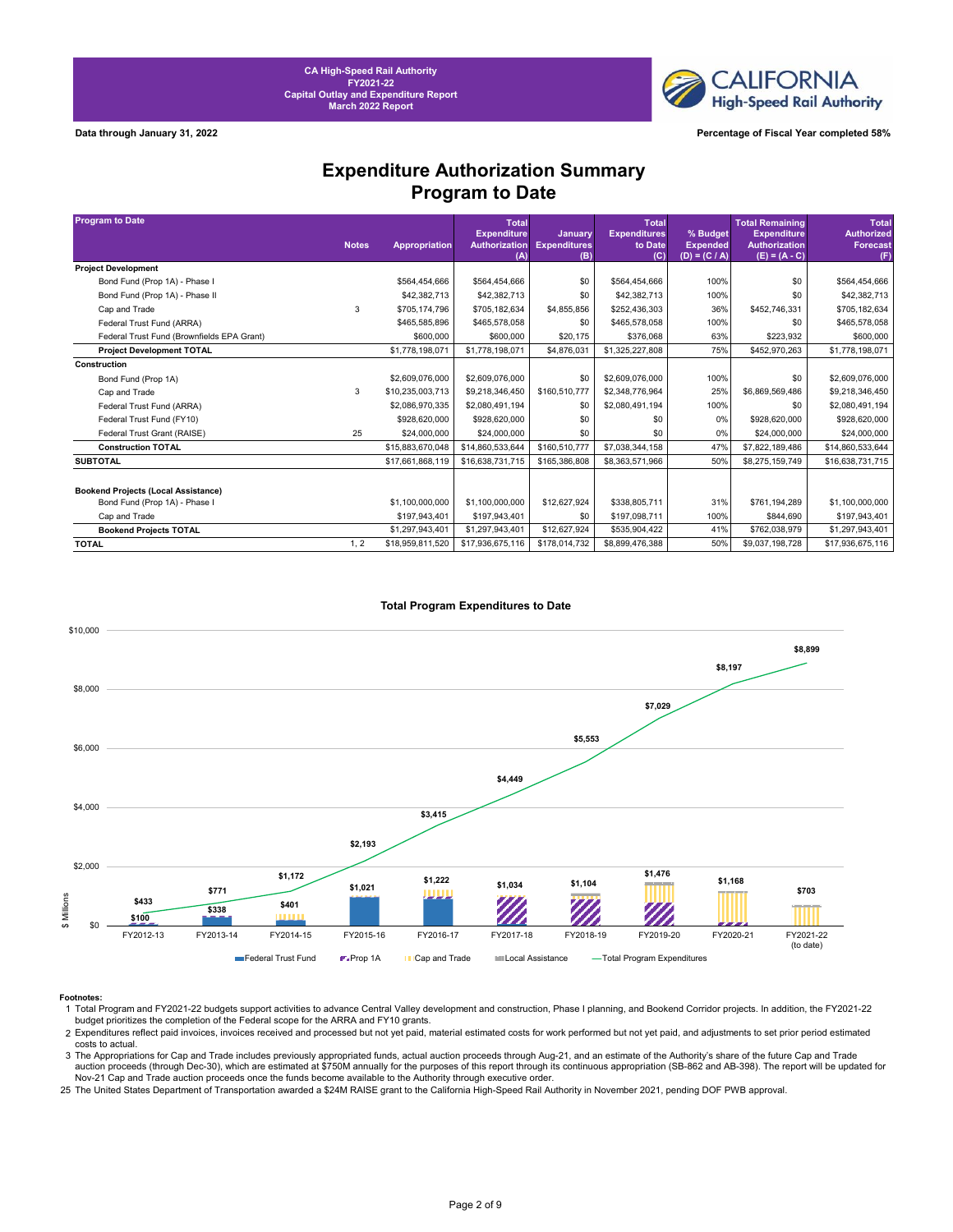**CALIFORNIA High-Speed Rail Authority** 

**Data through January 31, 2022 Percentage of Fiscal Year completed 58%**

### **Expenditure Authorization Summary Program to Date**

| <b>Program to Date</b>                     | <b>Notes</b> | Appropriation    | <b>Total</b><br><b>Expenditure</b><br>Authorization | <b>January</b><br><b>Expenditures</b> | Total<br><b>Expenditures</b><br>to Date | % Budget<br><b>Expended</b> | <b>Total Remaining</b><br><b>Expenditure</b><br><b>Authorization</b> | <b>Total</b><br><b>Authorized</b><br><b>Forecast</b> |
|--------------------------------------------|--------------|------------------|-----------------------------------------------------|---------------------------------------|-----------------------------------------|-----------------------------|----------------------------------------------------------------------|------------------------------------------------------|
|                                            |              |                  | (A)                                                 | (B)                                   | (C)                                     | $(D) = (C / A)$             | $(E) = (A - C)$                                                      | (F)                                                  |
| <b>Project Development</b>                 |              |                  |                                                     |                                       |                                         |                             |                                                                      |                                                      |
| Bond Fund (Prop 1A) - Phase I              |              | \$564,454,666    | \$564,454,666                                       | \$0                                   | \$564,454,666                           | 100%                        | \$0                                                                  | \$564,454,666                                        |
| Bond Fund (Prop 1A) - Phase II             |              | \$42,382,713     | \$42,382,713                                        | \$0                                   | \$42,382,713                            | 100%                        | \$0                                                                  | \$42,382,713                                         |
| Cap and Trade                              | 3            | \$705.174.796    | \$705,182,634                                       | \$4,855,856                           | \$252,436,303                           | 36%                         | \$452,746,331                                                        | \$705,182,634                                        |
| Federal Trust Fund (ARRA)                  |              | \$465,585,896    | \$465,578,058                                       | \$0                                   | \$465,578,058                           | 100%                        | \$0                                                                  | \$465,578,058                                        |
| Federal Trust Fund (Brownfields EPA Grant) |              | \$600,000        | \$600,000                                           | \$20,175                              | \$376,068                               | 63%                         | \$223,932                                                            | \$600,000                                            |
| <b>Project Development TOTAL</b>           |              | \$1,778,198,071  | \$1,778,198,071                                     | \$4,876,031                           | \$1,325,227,808                         | 75%                         | \$452,970,263                                                        | \$1,778,198,071                                      |
| Construction                               |              |                  |                                                     |                                       |                                         |                             |                                                                      |                                                      |
| Bond Fund (Prop 1A)                        |              | \$2,609,076,000  | \$2,609,076,000                                     | \$0                                   | \$2,609,076,000                         | 100%                        | \$0                                                                  | \$2,609,076,000                                      |
| Cap and Trade                              | 3            | \$10,235,003,713 | \$9,218,346,450                                     | \$160,510,777                         | \$2,348,776,964                         | 25%                         | \$6,869,569,486                                                      | \$9,218,346,450                                      |
| Federal Trust Fund (ARRA)                  |              | \$2,086,970,335  | \$2,080,491,194                                     | \$0                                   | \$2,080,491,194                         | 100%                        | \$0                                                                  | \$2,080,491,194                                      |
| Federal Trust Fund (FY10)                  |              | \$928,620,000    | \$928,620,000                                       | \$0                                   | \$0                                     | $0\%$                       | \$928,620,000                                                        | \$928,620,000                                        |
| Federal Trust Grant (RAISE)                | 25           | \$24,000,000     | \$24,000,000                                        | \$0                                   | \$0                                     | $0\%$                       | \$24,000,000                                                         | \$24,000,000                                         |
| <b>Construction TOTAL</b>                  |              | \$15,883,670,048 | \$14,860,533,644                                    | \$160,510,777                         | \$7,038,344,158                         | 47%                         | \$7,822,189,486                                                      | \$14,860,533,644                                     |
| <b>SUBTOTAL</b>                            |              | \$17,661,868,119 | \$16,638,731,715                                    | \$165,386,808                         | \$8,363,571,966                         | 50%                         | \$8,275,159,749                                                      | \$16,638,731,715                                     |
|                                            |              |                  |                                                     |                                       |                                         |                             |                                                                      |                                                      |
| <b>Bookend Projects (Local Assistance)</b> |              |                  |                                                     |                                       |                                         |                             |                                                                      |                                                      |
| Bond Fund (Prop 1A) - Phase I              |              | \$1,100,000,000  | \$1,100,000,000                                     | \$12,627,924                          | \$338,805,711                           | 31%                         | \$761,194,289                                                        | \$1,100,000,000                                      |
| Cap and Trade                              |              | \$197.943.401    | \$197.943.401                                       | \$0                                   | \$197,098,711                           | 100%                        | \$844,690                                                            | \$197,943,401                                        |
| <b>Bookend Projects TOTAL</b>              |              | \$1,297,943,401  | \$1,297,943,401                                     | \$12,627,924                          | \$535,904,422                           | 41%                         | \$762,038,979                                                        | \$1,297,943,401                                      |
| <b>TOTAL</b>                               | 1, 2         | \$18,959,811,520 | \$17,936,675,116                                    | \$178,014,732                         | \$8,899,476,388                         | 50%                         | \$9,037,198,728                                                      | \$17,936,675,116                                     |



### **Total Program Expenditures to Date**

3 The Appropriations for Cap and Trade includes previously appropriated funds, actual auction proceeds through Aug-21, and an estimate of the Authority's share of the future Cap and Trade auction proceeds (through Dec-30), which are estimated at \$750M annually for the purposes of this report through its continuous appropriation (SB-862 and AB-398). The report will be updated for Nov-21 Cap and Trade auction proceeds once the funds become available to the Authority through executive order.

25 The United States Department of Transportation awarded a \$24M RAISE grant to the California High-Speed Rail Authority in November 2021, pending DOF PWB approval.

Footnotes:<br>1 Total Program and FY2021-22 budgets support activities to advance Central Valley development and construction, Phase I planning, and Bookend Corridor projects. In addition, the FY2021-22<br>budget prioritizes the

<sup>2</sup> Expenditures reflect paid invoices, invoices received and processed but not yet paid, material estimated costs for work performed but not yet paid, and adjustments to set prior period estimated costs to actual.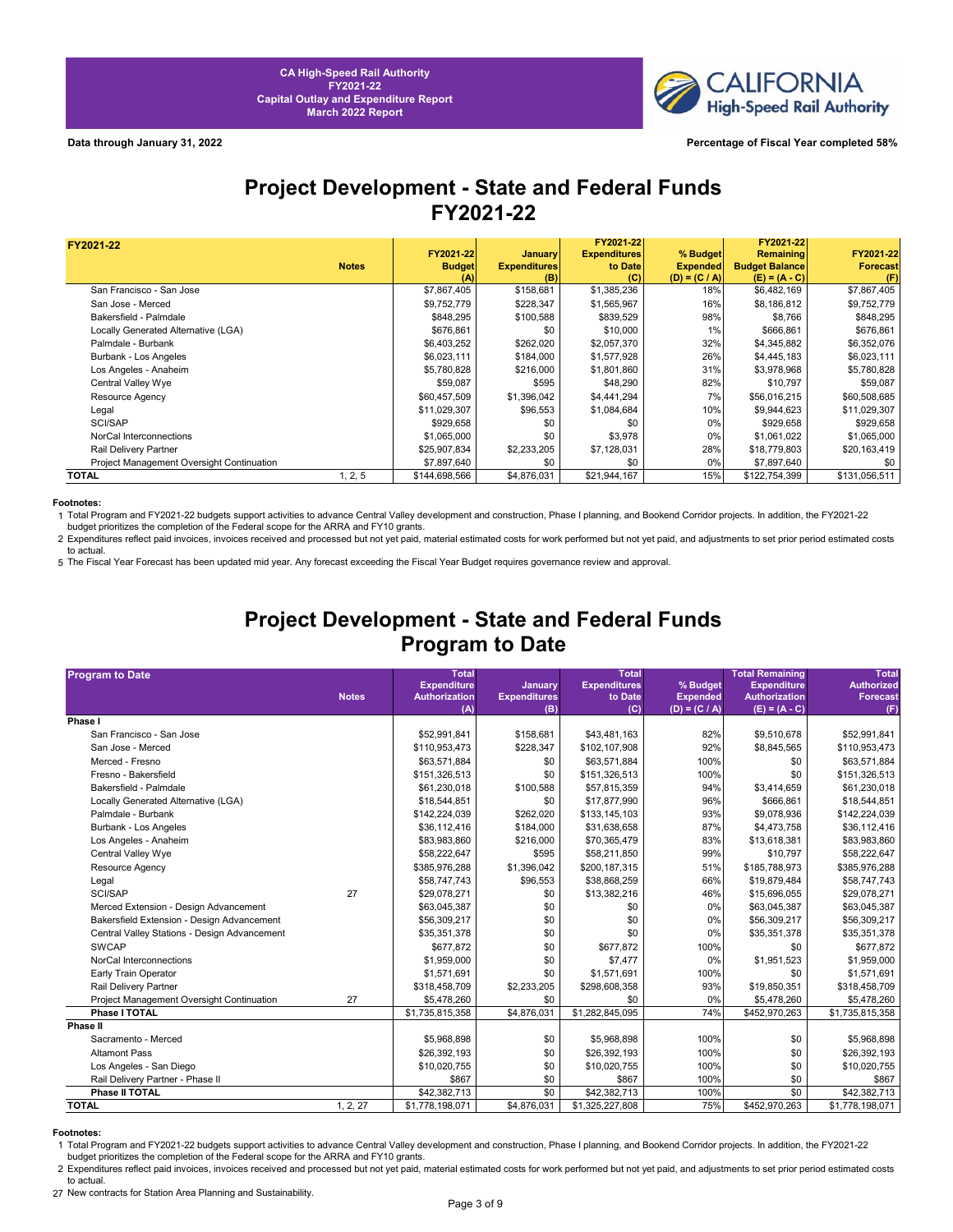

## **Project Development - State and Federal Funds FY2021-22**

| FY2021-22                                 |              |               |                     | FY2021-22           |                 | FY2021-22             |                 |
|-------------------------------------------|--------------|---------------|---------------------|---------------------|-----------------|-----------------------|-----------------|
|                                           |              | FY2021-22     | January             | <b>Expenditures</b> | % Budget        | Remaining             | FY2021-22       |
|                                           | <b>Notes</b> | <b>Budget</b> | <b>Expenditures</b> | to Date             | <b>Expended</b> | <b>Budget Balance</b> | <b>Forecast</b> |
|                                           |              | (A)           | (B)                 | (C)                 | $(D) = (C / A)$ | $(E) = (A - C)$       | (F)             |
| San Francisco - San Jose                  |              | \$7,867,405   | \$158,681           | \$1,385,236         | 18%             | \$6,482,169           | \$7,867,405     |
| San Jose - Merced                         |              | \$9,752,779   | \$228,347           | \$1,565,967         | 16%             | \$8,186,812           | \$9,752,779     |
| Bakersfield - Palmdale                    |              | \$848,295     | \$100,588           | \$839,529           | 98%             | \$8,766               | \$848,295       |
| Locally Generated Alternative (LGA)       |              | \$676,861     | \$0                 | \$10,000            | 1%              | \$666,861             | \$676,861       |
| Palmdale - Burbank                        |              | \$6,403,252   | \$262,020           | \$2,057,370         | 32%             | \$4,345,882           | \$6,352,076     |
| Burbank - Los Angeles                     |              | \$6,023,111   | \$184,000           | \$1,577,928         | 26%             | \$4,445,183           | \$6,023,111     |
| Los Angeles - Anaheim                     |              | \$5,780,828   | \$216,000           | \$1,801,860         | 31%             | \$3,978,968           | \$5,780,828     |
| Central Valley Wye                        |              | \$59,087      | \$595               | \$48,290            | 82%             | \$10,797              | \$59,087        |
| Resource Agency                           |              | \$60,457,509  | \$1,396,042         | \$4,441,294         | 7%              | \$56,016,215          | \$60,508,685    |
| Legal                                     |              | \$11,029,307  | \$96,553            | \$1,084,684         | 10%             | \$9,944,623           | \$11,029,307    |
| SCI/SAP                                   |              | \$929,658     | \$0                 | \$0                 | $0\%$           | \$929,658             | \$929,658       |
| NorCal Interconnections                   |              | \$1,065,000   | \$0                 | \$3,978             | 0%              | \$1,061,022           | \$1,065,000     |
| Rail Delivery Partner                     |              | \$25,907,834  | \$2,233,205         | \$7,128,031         | 28%             | \$18,779,803          | \$20,163,419    |
| Project Management Oversight Continuation |              | \$7,897,640   | \$0                 | \$0                 | $0\%$           | \$7,897,640           | \$0             |
| <b>TOTAL</b>                              | 1, 2, 5      | \$144,698,566 | \$4,876,031         | \$21,944,167        | 15%             | \$122,754,399         | \$131,056,511   |

### **Footnotes:**

1 Total Program and FY2021-22 budgets support activities to advance Central Valley development and construction, Phase I planning, and Bookend Corridor projects. In addition, the FY2021-22<br>budget prioritizes the completion

2 Expenditures reflect paid invoices, invoices received and processed but not yet paid, material estimated costs for work performed but not yet paid, and adjustments to set prior period estimated costs to actual.

5 The Fiscal Year Forecast has been updated mid year. Any forecast exceeding the Fiscal Year Budget requires governance review and approval.

# **Project Development - State and Federal Funds Program to Date**

| <b>Program to Date</b>                         |              | <b>Total</b>                  |                         | <b>Total</b>        |                 | <b>Total Remaining</b> | <b>Total</b>                 |
|------------------------------------------------|--------------|-------------------------------|-------------------------|---------------------|-----------------|------------------------|------------------------------|
|                                                |              | <b>Expenditure</b>            | January                 | <b>Expenditures</b> | % Budget        | <b>Expenditure</b>     | <b>Authorized</b>            |
|                                                | <b>Notes</b> | <b>Authorization</b>          | <b>Expenditures</b>     | to Date             | <b>Expended</b> | <b>Authorization</b>   | <b>Forecast</b>              |
| Phase I                                        |              | (A)                           | (B)                     | (C)                 | $(D) = (C / A)$ | $(E) = (A - C)$        | (F)                          |
| San Francisco - San Jose                       |              | \$52,991,841                  | \$158,681               | \$43,481,163        | 82%             | \$9,510,678            | \$52,991,841                 |
| San Jose - Merced                              |              | \$110,953,473                 | \$228,347               | \$102,107,908       | 92%             | \$8,845,565            | \$110,953,473                |
| Merced - Fresno                                |              | \$63,571,884                  | \$0                     | \$63,571,884        | 100%            | \$0                    | \$63,571,884                 |
| Fresno - Bakersfield                           |              | \$151,326,513                 | \$0                     | \$151,326,513       | 100%            | \$0                    | \$151,326,513                |
| Bakersfield - Palmdale                         |              | \$61,230,018                  | \$100,588               | \$57,815,359        | 94%             | \$3,414,659            | \$61,230,018                 |
| Locally Generated Alternative (LGA)            |              | \$18,544,851                  | \$0                     | \$17,877,990        | 96%             | \$666,861              | \$18,544,851                 |
| Palmdale - Burbank                             |              | \$142,224,039                 | \$262,020               | \$133,145,103       | 93%             | \$9,078,936            | \$142,224,039                |
|                                                |              | \$36,112,416                  | \$184,000               | \$31,638,658        | 87%             | \$4,473,758            |                              |
| Burbank - Los Angeles<br>Los Angeles - Anaheim |              | \$83,983,860                  | \$216,000               | \$70,365,479        | 83%             | \$13,618,381           | \$36,112,416<br>\$83,983,860 |
|                                                |              |                               |                         |                     | 99%             |                        |                              |
| Central Valley Wye                             |              | \$58,222,647                  | \$595                   | \$58,211,850        | 51%             | \$10,797               | \$58,222,647                 |
| <b>Resource Agency</b>                         |              | \$385,976,288<br>\$58,747,743 | \$1,396,042<br>\$96,553 | \$200,187,315       | 66%             | \$185,788,973          | \$385,976,288                |
| Legal                                          |              |                               |                         | \$38,868,259        |                 | \$19,879,484           | \$58,747,743                 |
| SCI/SAP                                        | 27           | \$29,078,271                  | \$0                     | \$13,382,216        | 46%             | \$15,696,055           | \$29,078,271                 |
| Merced Extension - Design Advancement          |              | \$63,045,387                  | \$0                     | \$0                 | 0%              | \$63,045,387           | \$63,045,387                 |
| Bakersfield Extension - Design Advancement     |              | \$56,309,217                  | \$0                     | \$0                 | 0%              | \$56,309,217           | \$56,309,217                 |
| Central Valley Stations - Design Advancement   |              | \$35,351,378                  | \$0                     | \$0                 | 0%              | \$35,351,378           | \$35,351,378                 |
| <b>SWCAP</b>                                   |              | \$677,872                     | \$0                     | \$677,872           | 100%            | \$0                    | \$677,872                    |
| NorCal Interconnections                        |              | \$1,959,000                   | \$0                     | \$7,477             | 0%              | \$1,951,523            | \$1,959,000                  |
| Early Train Operator                           |              | \$1,571,691                   | \$0                     | \$1,571,691         | 100%            | \$0                    | \$1,571,691                  |
| Rail Delivery Partner                          |              | \$318,458,709                 | \$2,233,205             | \$298,608,358       | 93%             | \$19,850,351           | \$318,458,709                |
| Project Management Oversight Continuation      | 27           | \$5,478,260                   | \$0                     | \$0                 | 0%              | \$5,478,260            | \$5,478,260                  |
| Phase I TOTAL                                  |              | \$1,735,815,358               | \$4,876,031             | \$1,282,845,095     | 74%             | \$452,970,263          | \$1,735,815,358              |
| Phase II                                       |              |                               |                         |                     |                 |                        |                              |
| Sacramento - Merced                            |              | \$5,968,898                   | \$0                     | \$5,968,898         | 100%            | \$0                    | \$5,968,898                  |
| <b>Altamont Pass</b>                           |              | \$26,392,193                  | \$0                     | \$26,392,193        | 100%            | \$0                    | \$26,392,193                 |
| Los Angeles - San Diego                        |              | \$10,020,755                  | \$0                     | \$10,020,755        | 100%            | \$0                    | \$10,020,755                 |
| Rail Delivery Partner - Phase II               |              | \$867                         | \$0                     | \$867               | 100%            | \$0                    | \$867                        |
| Phase II TOTAL                                 |              | \$42,382,713                  | \$0                     | \$42,382,713        | 100%            | \$0                    | \$42,382,713                 |
| <b>TOTAL</b>                                   | 1, 2, 27     | \$1,778,198,071               | \$4,876,031             | \$1,325,227,808     | 75%             | \$452,970,263          | \$1,778,198,071              |

**Footnotes:**<br>1 Total Program and FY2021-22 budgets support activities to advance Central Valley development and construction, Phase I planning, and Bookend Corridor projects. In addition, the FY2021-22 budget prioritizes the completion of the Federal scope for the ARRA and FY10 grants.

2 Expenditures reflect paid invoices, invoices received and processed but not yet paid, material estimated costs for work performed but not yet paid, and adjustments to set prior period estimated costs to actual.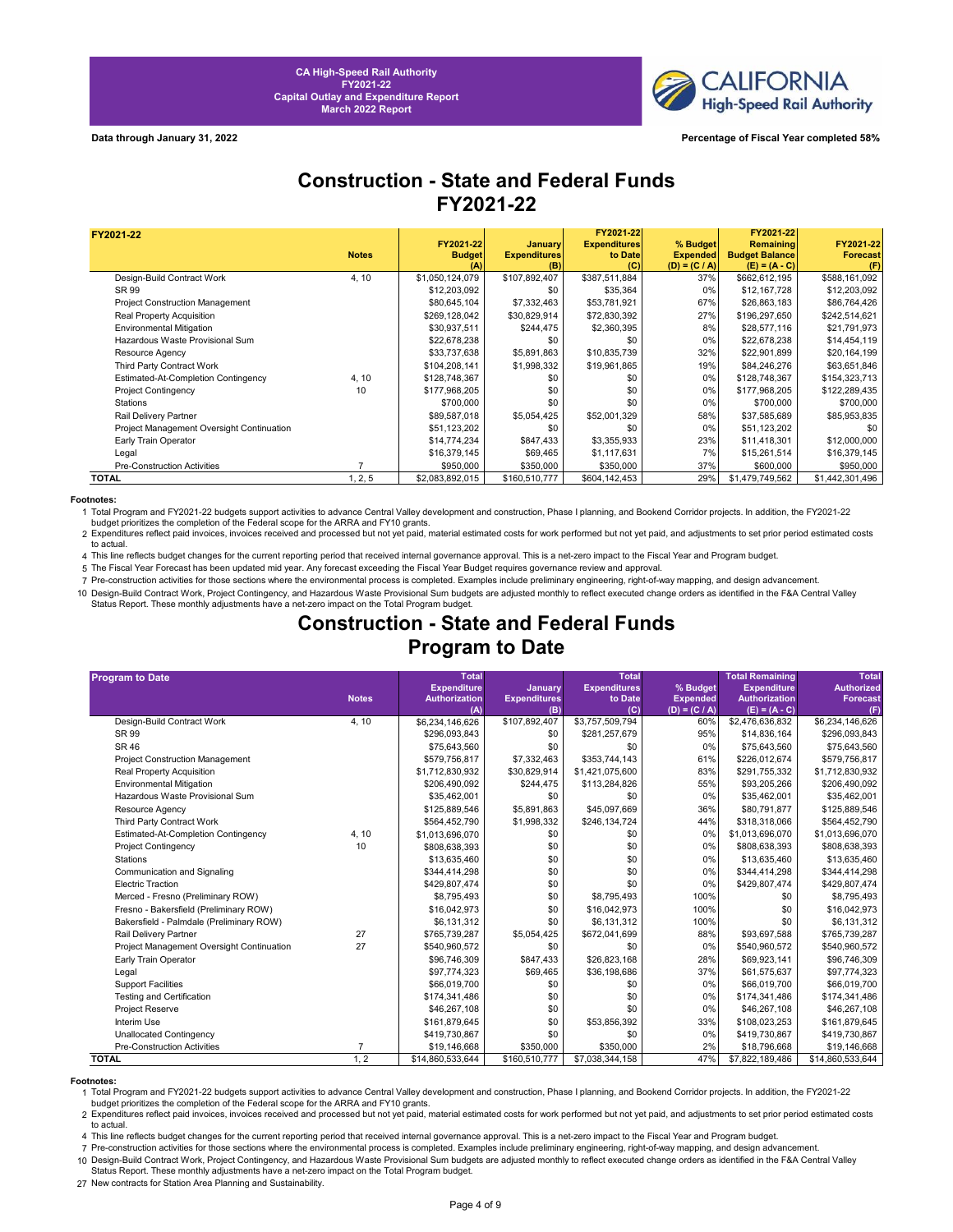

**Data through January 31, 2022 Percentage of Fiscal Year completed 58%**

## **Construction - State and Federal Funds FY2021-22**

| FY2021-22                                 |              |                      |                            | FY2021-22           |                                    | FY2021-22                                |                        |
|-------------------------------------------|--------------|----------------------|----------------------------|---------------------|------------------------------------|------------------------------------------|------------------------|
|                                           |              | FY2021-22            | <b>January</b>             | <b>Expenditures</b> | % Budget                           | <b>Remaining</b>                         | FY2021-22              |
|                                           | <b>Notes</b> | <b>Budget</b><br>(A) | <b>Expenditures</b><br>(B) | to Date<br>(C)      | <b>Expended</b><br>$(D) = (C / A)$ | <b>Budget Balance</b><br>$(E) = (A - C)$ | <b>Forecast</b><br>(F) |
| Design-Build Contract Work                | 4, 10        | \$1,050,124,079      | \$107,892,407              | \$387,511,884       | 37%                                | \$662,612,195                            | \$588,161,092          |
| SR 99                                     |              | \$12,203,092         | \$0                        | \$35,364            | 0%                                 | \$12,167,728                             | \$12,203,092           |
| <b>Project Construction Management</b>    |              | \$80,645,104         | \$7,332,463                | \$53,781,921        | 67%                                | \$26,863,183                             | \$86,764,426           |
| <b>Real Property Acquisition</b>          |              | \$269,128,042        | \$30,829,914               | \$72,830,392        | 27%                                | \$196,297,650                            | \$242,514,621          |
| Environmental Mitigation                  |              | \$30,937,511         | \$244,475                  | \$2,360,395         | 8%                                 | \$28,577,116                             | \$21,791,973           |
| Hazardous Waste Provisional Sum           |              | \$22,678,238         | \$0                        | \$0                 | 0%                                 | \$22,678,238                             | \$14,454,119           |
| Resource Agency                           |              | \$33,737,638         | \$5,891,863                | \$10,835,739        | 32%                                | \$22,901,899                             | \$20,164,199           |
| Third Party Contract Work                 |              | \$104,208,141        | \$1,998,332                | \$19,961,865        | 19%                                | \$84,246,276                             | \$63,651,846           |
| Estimated-At-Completion Contingency       | 4, 10        | \$128,748,367        | \$0                        | \$0                 | 0%                                 | \$128,748,367                            | \$154,323,713          |
| <b>Project Contingency</b>                | 10           | \$177,968,205        | \$0                        | \$0                 | 0%                                 | \$177,968,205                            | \$122,289,435          |
| Stations                                  |              | \$700,000            | \$0                        | \$0                 | 0%                                 | \$700,000                                | \$700,000              |
| Rail Delivery Partner                     |              | \$89,587,018         | \$5,054,425                | \$52,001,329        | 58%                                | \$37,585,689                             | \$85,953,835           |
| Project Management Oversight Continuation |              | \$51,123,202         | \$0                        | \$0                 | 0%                                 | \$51,123,202                             | \$0                    |
| Early Train Operator                      |              | \$14,774,234         | \$847,433                  | \$3,355,933         | 23%                                | \$11,418,301                             | \$12,000,000           |
| Legal                                     |              | \$16,379,145         | \$69,465                   | \$1,117,631         | 7%                                 | \$15,261,514                             | \$16,379,145           |
| <b>Pre-Construction Activities</b>        |              | \$950,000            | \$350,000                  | \$350,000           | 37%                                | \$600,000                                | \$950,000              |
| TOTAL                                     | 1, 2, 5      | \$2,083,892,015      | \$160,510,777              | \$604,142,453       | 29%                                | \$1,479,749,562                          | \$1,442,301,496        |

**Footnotes:**<br>1 Total Program and FY2021-22 budgets support activities to advance Central Valley development and construction, Phase I planning, and Bookend Corridor projects. In addition, the FY2021-22<br>budget prioritizes t

2 Expenditures reflect paid invoices, invoices received and processed but not yet paid, material estimated costs for work performed but not yet paid, and adjustments to set prior period estimated costs

4 to actual. This line reflects budget changes for the current reporting period that received internal governance approval. This is a net-zero impact to the Fiscal Year and Program budget.

5 The Fiscal Year Forecast has been updated mid year. Any forecast exceeding the Fiscal Year Budget requires governance review and approval.

7 Pre-construction activities for those sections where the environmental process is completed. Examples include preliminary engineering, right-of-way mapping, and design advancement.

10 Design-Build Contract Work, Project Contingency, and Hazardous Waste Provisional Sum budgets are adjusted monthly to reflect executed change orders as identified in the F&A Central Valley Status Report. These monthly adjustments have a net-zero impact on the Total Program budget.

# **Construction - State and Federal Funds Program to Date**

| <b>Program to Date</b>                    |                | <b>Total</b>         |                     | <b>Total</b>        |                 | <b>Total Remaining</b> | <b>Total</b>      |
|-------------------------------------------|----------------|----------------------|---------------------|---------------------|-----------------|------------------------|-------------------|
|                                           |                | <b>Expenditure</b>   | <b>January</b>      | <b>Expenditures</b> | % Budget        | <b>Expenditure</b>     | <b>Authorized</b> |
|                                           | <b>Notes</b>   | <b>Authorization</b> | <b>Expenditures</b> | to Date             | <b>Expended</b> | <b>Authorization</b>   | <b>Forecast</b>   |
|                                           |                | (A)                  | (B)                 | (C)                 | $(D) = (C / A)$ | $(E) = (A - C)$        | (F)               |
| Design-Build Contract Work                | 4, 10          | \$6,234,146,626      | \$107,892,407       | \$3,757,509,794     | 60%             | \$2,476,636,832        | \$6,234,146,626   |
| SR 99                                     |                | \$296,093,843        | \$0                 | \$281,257,679       | 95%             | \$14,836,164           | \$296,093,843     |
| SR 46                                     |                | \$75,643,560         | \$0                 | \$0                 | 0%              | \$75,643,560           | \$75,643,560      |
| <b>Project Construction Management</b>    |                | \$579,756,817        | \$7,332,463         | \$353,744,143       | 61%             | \$226,012,674          | \$579,756,817     |
| Real Property Acquisition                 |                | \$1,712,830,932      | \$30,829,914        | \$1,421,075,600     | 83%             | \$291,755,332          | \$1,712,830,932   |
| <b>Environmental Mitigation</b>           |                | \$206,490,092        | \$244,475           | \$113,284,826       | 55%             | \$93,205,266           | \$206,490,092     |
| Hazardous Waste Provisional Sum           |                | \$35,462,001         | \$0                 | \$0                 | 0%              | \$35,462,001           | \$35,462,001      |
| Resource Agency                           |                | \$125,889,546        | \$5,891,863         | \$45,097,669        | 36%             | \$80,791,877           | \$125,889,546     |
| Third Party Contract Work                 |                | \$564,452,790        | \$1,998,332         | \$246,134,724       | 44%             | \$318,318,066          | \$564,452,790     |
| Estimated-At-Completion Contingency       | 4, 10          | \$1,013,696,070      | \$0                 | \$0                 | 0%              | \$1,013,696,070        | \$1,013,696,070   |
| <b>Project Contingency</b>                | 10             | \$808,638,393        | \$0                 | \$0                 | 0%              | \$808,638,393          | \$808,638,393     |
| <b>Stations</b>                           |                | \$13,635,460         | \$0                 | \$0                 | 0%              | \$13,635,460           | \$13,635,460      |
| Communication and Signaling               |                | \$344,414,298        | \$0                 | \$0                 | 0%              | \$344,414,298          | \$344,414,298     |
| <b>Electric Traction</b>                  |                | \$429,807,474        | \$0                 | \$0                 | 0%              | \$429,807,474          | \$429,807,474     |
| Merced - Fresno (Preliminary ROW)         |                | \$8,795,493          | \$0                 | \$8,795,493         | 100%            | \$0                    | \$8,795,493       |
| Fresno - Bakersfield (Preliminary ROW)    |                | \$16,042,973         | \$0                 | \$16,042,973        | 100%            | \$0                    | \$16,042,973      |
| Bakersfield - Palmdale (Preliminary ROW)  |                | \$6,131,312          | \$0                 | \$6,131,312         | 100%            | \$0                    | \$6,131,312       |
| Rail Delivery Partner                     | 27             | \$765,739,287        | \$5,054,425         | \$672,041,699       | 88%             | \$93,697,588           | \$765,739,287     |
| Project Management Oversight Continuation | 27             | \$540.960.572        | \$0                 | \$0                 | 0%              | \$540,960,572          | \$540,960,572     |
| Early Train Operator                      |                | \$96,746,309         | \$847,433           | \$26,823,168        | 28%             | \$69,923,141           | \$96,746,309      |
| Legal                                     |                | \$97,774,323         | \$69,465            | \$36,198,686        | 37%             | \$61,575,637           | \$97,774,323      |
| <b>Support Facilities</b>                 |                | \$66,019,700         | \$0                 | \$0                 | 0%              | \$66,019,700           | \$66,019,700      |
| <b>Testing and Certification</b>          |                | \$174,341,486        | \$0                 | \$0                 | 0%              | \$174,341,486          | \$174,341,486     |
| Project Reserve                           |                | \$46,267,108         | \$0                 | \$0                 | 0%              | \$46,267,108           | \$46,267,108      |
| Interim Use                               |                | \$161,879,645        | \$0                 | \$53,856,392        | 33%             | \$108,023,253          | \$161,879,645     |
| Unallocated Contingency                   |                | \$419,730,867        | \$0                 | \$0                 | 0%              | \$419,730,867          | \$419,730,867     |
| <b>Pre-Construction Activities</b>        | $\overline{7}$ | \$19,146,668         | \$350,000           | \$350,000           | 2%              | \$18,796,668           | \$19,146,668      |
| <b>TOTAL</b>                              | 1, 2           | \$14,860,533,644     | \$160,510,777       | \$7,038,344,158     | 47%             | \$7,822,189,486        | \$14,860,533,644  |

**Footnotes:**<br>19 Total Program and FY2021-22 budgets support activities to advance Central Valley development and construction, Phase I planning, and Bookend Corridor projects. In addition, the FY2021-22 budget prioritizes the completion of the Federal scope for the ARRA and FY10 grants.

2 Expenditures reflect paid invoices, invoices received and processed but not yet paid, material estimated costs for work performed but not yet paid, and adjustments to set prior period estimated costs to actual.

4 This line reflects budget changes for the current reporting period that received internal governance approval. This is a net-zero impact to the Fiscal Year and Program budget.

7 Pre-construction activities for those sections where the environmental process is completed. Examples include preliminary engineering, right-of-way mapping, and design advancement. 10 Design-Build Contract Work, Project Contingency, and Hazardous Waste Provisional Sum budgets are adjusted monthly to reflect executed change orders as identified in the F&A Central Valley Status Report. These monthly adjustments have a net-zero impact on the Total Program budget.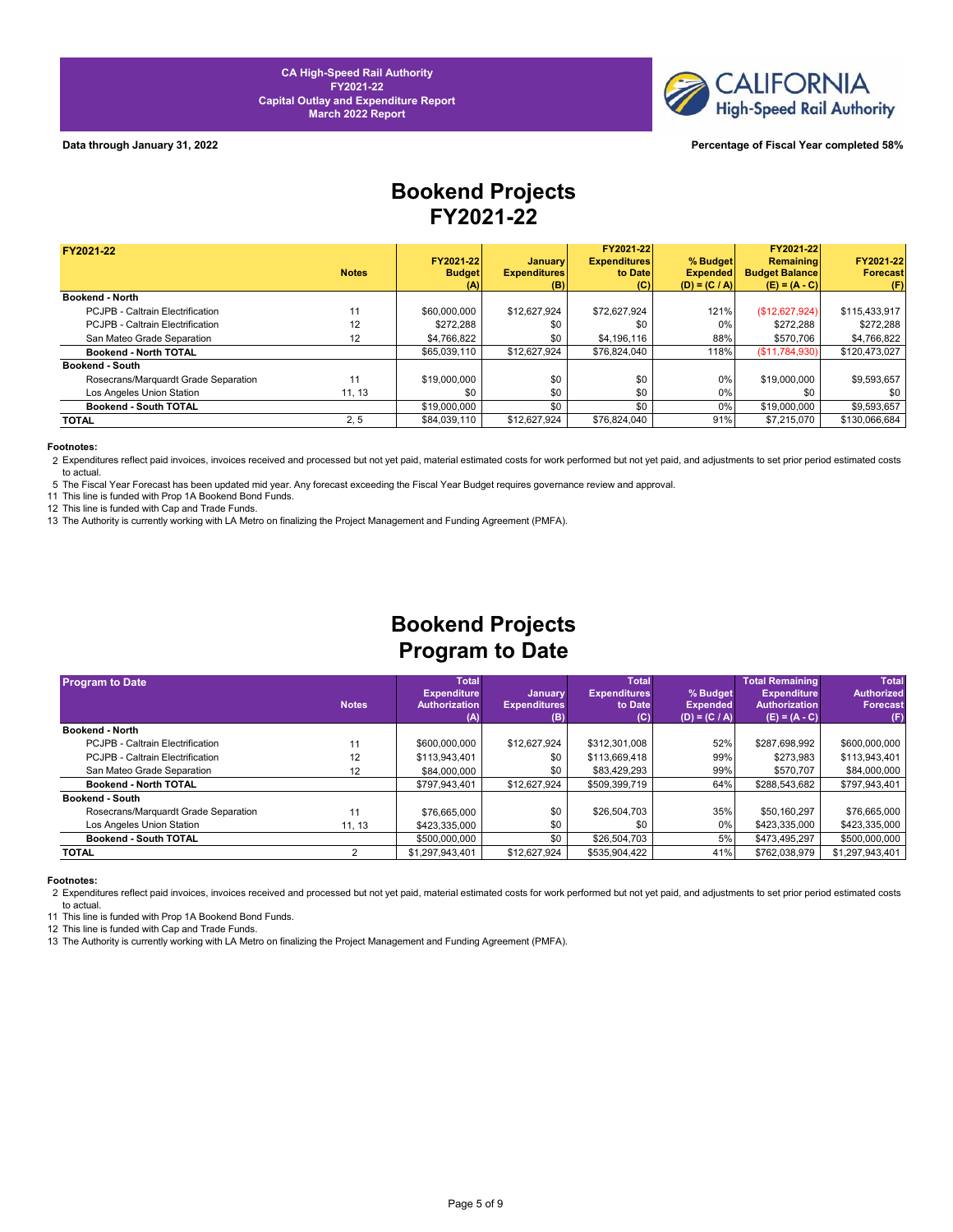

### **Data through January 31, 2022 Percentage of Fiscal Year completed 58%**

# **Bookend Projects FY2021-22**

| FY2021-22                            |              |               |                     | FY2021-22           |                 | FY2021-22             |                 |
|--------------------------------------|--------------|---------------|---------------------|---------------------|-----------------|-----------------------|-----------------|
|                                      |              | FY2021-22     | <b>January</b>      | <b>Expenditures</b> | % Budget        | Remaining             | FY2021-22       |
|                                      | <b>Notes</b> | <b>Budget</b> | <b>Expenditures</b> | to Date             | <b>Expended</b> | <b>Budget Balance</b> | <b>Forecast</b> |
|                                      |              | (A)           | (B)                 | (C)                 | $(D) = (C / A)$ | $(E) = (A - C)$       | (F)             |
| <b>Bookend - North</b>               |              |               |                     |                     |                 |                       |                 |
| PCJPB - Caltrain Electrification     | 11           | \$60,000,000  | \$12,627,924        | \$72.627.924        | 121%            | (\$12,627,924)        | \$115,433,917   |
| PCJPB - Caltrain Electrification     | 12           | \$272.288     | \$0                 | \$0                 | 0%              | \$272.288             | \$272.288       |
| San Mateo Grade Separation           | 12           | \$4,766,822   | \$0                 | \$4,196,116         | 88%             | \$570.706             | \$4,766,822     |
| Bookend - North TOTAL                |              | \$65,039,110  | \$12,627,924        | \$76,824,040        | 118%            | (S11,784,930)         | \$120,473,027   |
| <b>Bookend - South</b>               |              |               |                     |                     |                 |                       |                 |
| Rosecrans/Marquardt Grade Separation | 11           | \$19,000,000  | \$0                 | \$0                 | 0%              | \$19,000,000          | \$9,593,657     |
| Los Angeles Union Station            | 11, 13       | \$0           | \$0                 | \$0                 | $0\%$           | \$0                   | \$0             |
| Bookend - South TOTAL                |              | \$19,000,000  | \$0                 | \$0                 | 0%              | \$19,000,000          | \$9,593,657     |
| TOTAL                                | 2, 5         | \$84,039,110  | \$12,627.924        | \$76,824,040        | 91%             | \$7,215,070           | \$130.066.684   |

### **Footnotes:**

2 Expenditures reflect paid invoices, invoices received and processed but not yet paid, material estimated costs for work performed but not yet paid, and adjustments to set prior period estimated costs to actual.

5 The Fiscal Year Forecast has been updated mid year. Any forecast exceeding the Fiscal Year Budget requires governance review and approval.

11 This line is funded with Prop 1A Bookend Bond Funds.

12 This line is funded with Cap and Trade Funds.

13 The Authority is currently working with LA Metro on finalizing the Project Management and Funding Agreement (PMFA).

# **Bookend Projects Program to Date**

|    | <b>Total</b>           |                                                   |               |                                              | <b>Total Remaining</b>                         | <b>Total</b>                                                                                                        |
|----|------------------------|---------------------------------------------------|---------------|----------------------------------------------|------------------------------------------------|---------------------------------------------------------------------------------------------------------------------|
|    |                        |                                                   |               |                                              |                                                | <b>Authorized</b>                                                                                                   |
|    |                        |                                                   |               |                                              |                                                | <b>Forecast</b>                                                                                                     |
|    |                        |                                                   |               |                                              |                                                | (F)                                                                                                                 |
|    |                        |                                                   |               |                                              |                                                |                                                                                                                     |
| 11 | \$600,000,000          | \$12,627,924                                      | \$312,301,008 | 52%                                          | \$287,698,992                                  | \$600,000,000                                                                                                       |
| 12 | \$113,943,401          | \$0                                               | \$113,669,418 | 99%                                          | \$273,983                                      | \$113,943,401                                                                                                       |
| 12 | \$84,000,000           | \$0                                               | \$83,429,293  | 99%                                          | \$570.707                                      | \$84,000,000                                                                                                        |
|    | \$797.943.401          | \$12,627,924                                      | \$509,399,719 | 64%                                          | \$288,543,682                                  | \$797,943,401                                                                                                       |
|    |                        |                                                   |               |                                              |                                                |                                                                                                                     |
| 11 | \$76,665,000           | \$0                                               | \$26,504,703  | 35%                                          | \$50.160.297                                   | \$76,665,000                                                                                                        |
|    | \$423,335,000          | \$0                                               | \$0           | 0%                                           | \$423,335,000                                  | \$423,335,000                                                                                                       |
|    | \$500,000,000          | \$0                                               | \$26,504,703  | 5%                                           | \$473.495.297                                  | \$500,000,000                                                                                                       |
|    | \$1,297,943,401        | \$12,627,924                                      | \$535,904,422 | 41%                                          | \$762,038,979                                  | \$1,297,943,401                                                                                                     |
|    | <b>Notes</b><br>11, 13 | <b>Expenditure</b><br><b>Authorization</b><br>(A) | (B)           | <b>January</b><br><b>Expenditures</b><br>(C) | <b>Total</b><br><b>Expenditures</b><br>to Date | % Budget<br><b>Expenditure</b><br><b>Authorization</b><br><b>Expended</b><br>$(E) = (A - C)$<br>$(D) = (C / A)^{T}$ |

### **Footnotes:**

2 Expenditures reflect paid invoices, invoices received and processed but not yet paid, material estimated costs for work performed but not yet paid, and adjustments to set prior period estimated costs to actual.

11 This line is funded with Prop 1A Bookend Bond Funds.

12 This line is funded with Cap and Trade Funds.

13 The Authority is currently working with LA Metro on finalizing the Project Management and Funding Agreement (PMFA).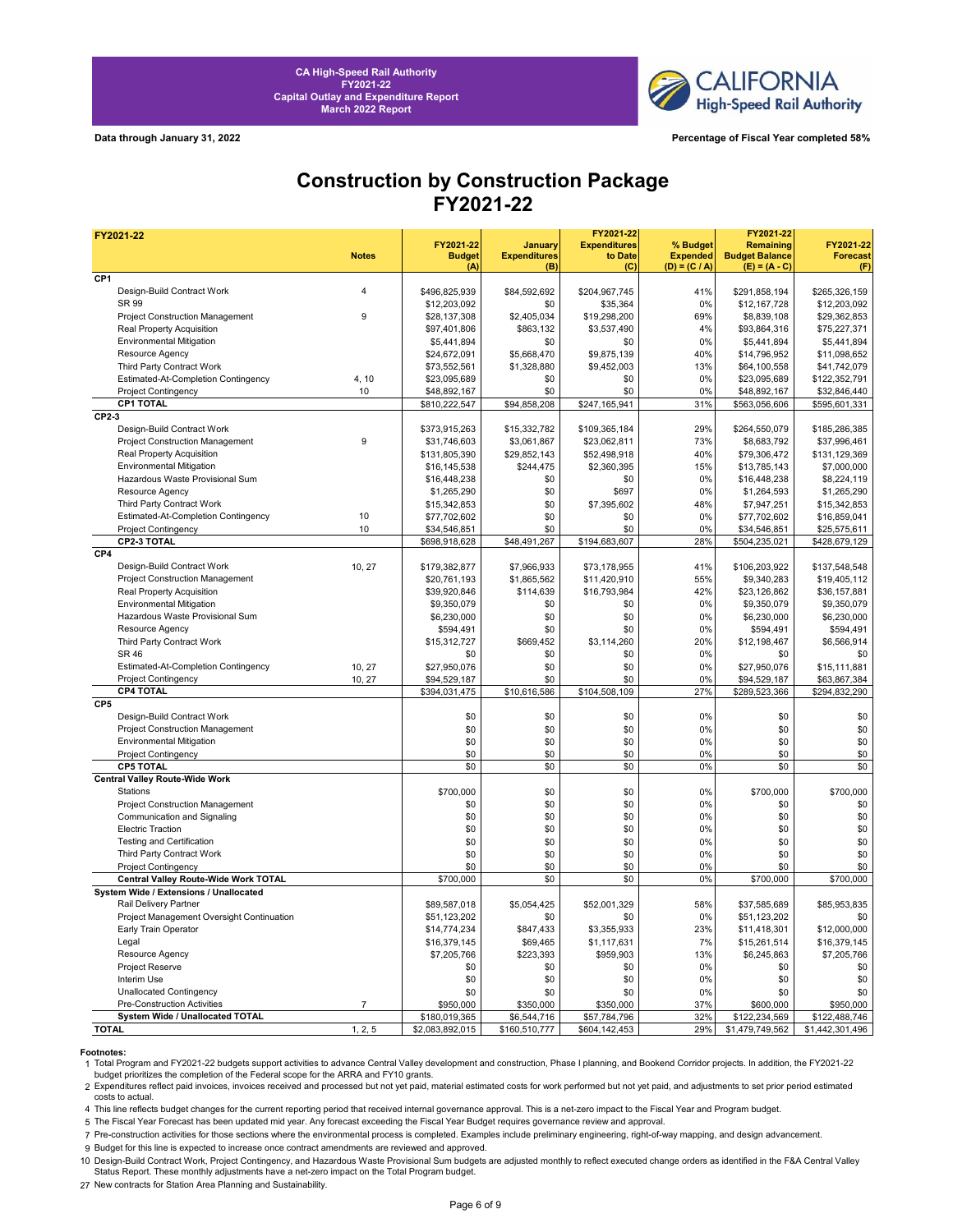

**Data through January 31, 2022 Percentage of Fiscal Year completed 58%**

## **Construction by Construction Package FY2021-22**

| FY2021-22                                 |                |                 |                     | FY2021-22           |                 | FY2021-22             |                 |
|-------------------------------------------|----------------|-----------------|---------------------|---------------------|-----------------|-----------------------|-----------------|
|                                           |                | FY2021-22       | January             | <b>Expenditures</b> | % Budget        | Remaining             | FY2021-22       |
|                                           | <b>Notes</b>   | <b>Budget</b>   | <b>Expenditures</b> | to Date             | <b>Expended</b> | <b>Budget Balance</b> | <b>Forecast</b> |
| CP <sub>1</sub>                           |                | (A)             | (B)                 | (C)                 | $(D) = (C / A)$ | $(E) = (A - C)$       | (F)             |
| Design-Build Contract Work                | $\overline{4}$ |                 |                     |                     |                 |                       |                 |
| SR 99                                     |                | \$496,825,939   | \$84,592,692        | \$204,967,745       | 41%<br>0%       | \$291,858,194         | \$265,326,159   |
|                                           |                | \$12,203,092    | \$0                 | \$35,364            |                 | \$12,167,728          | \$12,203,092    |
| Project Construction Management           | 9              | \$28,137,308    | \$2,405,034         | \$19,298,200        | 69%             | \$8,839,108           | \$29,362,853    |
| Real Property Acquisition                 |                | \$97,401,806    | \$863,132           | \$3,537,490         | 4%              | \$93,864,316          | \$75,227,371    |
| <b>Environmental Mitigation</b>           |                | \$5,441,894     | \$0                 | \$0                 | 0%              | \$5,441,894           | \$5,441,894     |
| Resource Agency                           |                | \$24,672,091    | \$5,668,470         | \$9,875,139         | 40%             | \$14,796,952          | \$11,098,652    |
| Third Party Contract Work                 |                | \$73,552,561    | \$1,328,880         | \$9,452,003         | 13%             | \$64,100,558          | \$41,742,079    |
| Estimated-At-Completion Contingency       | 4, 10          | \$23,095,689    | \$0                 | \$0                 | 0%              | \$23,095,689          | \$122,352,791   |
| <b>Project Contingency</b>                | 10             | \$48,892,167    | \$0                 | \$0                 | 0%              | \$48,892,167          | \$32,846,440    |
| CP1 TOTAL                                 |                | \$810,222,547   | \$94,858,208        | \$247,165,941       | 31%             | \$563,056,606         | \$595,601,331   |
| CP2-3                                     |                |                 |                     |                     |                 |                       |                 |
| Design-Build Contract Work                |                | \$373,915,263   | \$15,332,782        | \$109,365,184       | 29%             | \$264,550,079         | \$185,286,385   |
| Project Construction Management           | 9              | \$31,746,603    | \$3,061,867         | \$23,062,811        | 73%             | \$8,683,792           | \$37,996,461    |
| Real Property Acquisition                 |                | \$131,805,390   | \$29,852,143        | \$52,498,918        | 40%             | \$79,306,472          | \$131,129,369   |
| <b>Environmental Mitigation</b>           |                | \$16,145,538    | \$244,475           | \$2,360,395         | 15%             | \$13,785,143          | \$7,000,000     |
| Hazardous Waste Provisional Sum           |                | \$16,448,238    | \$0                 | \$0                 | 0%              | \$16,448,238          | \$8,224,119     |
| Resource Agency                           |                | \$1,265,290     | \$0                 | \$697               | 0%              | \$1,264,593           | \$1,265,290     |
| Third Party Contract Work                 |                | \$15,342,853    | \$0                 | \$7,395,602         | 48%             | \$7,947,251           | \$15,342,853    |
| Estimated-At-Completion Contingency       | 10             | \$77,702,602    | \$0                 | \$0                 | 0%              | \$77,702,602          | \$16,859,041    |
| <b>Project Contingency</b>                | 10             | \$34,546,851    | \$0                 | \$0                 | 0%              | \$34,546,851          | \$25,575,611    |
| CP2-3 TOTAL                               |                | \$698,918,628   | \$48,491,267        | \$194,683,607       | 28%             | \$504,235,021         | \$428,679,129   |
| CP4                                       |                |                 |                     |                     |                 |                       |                 |
| Design-Build Contract Work                | 10, 27         | \$179,382,877   | \$7,966,933         | \$73,178,955        | 41%             | \$106,203,922         | \$137,548,548   |
| Project Construction Management           |                | \$20,761,193    | \$1,865,562         | \$11,420,910        | 55%             | \$9,340,283           | \$19,405,112    |
| Real Property Acquisition                 |                | \$39,920,846    | \$114,639           | \$16,793,984        | 42%             | \$23,126,862          | \$36,157,881    |
| <b>Environmental Mitigation</b>           |                | \$9.350.079     | \$0                 | \$0                 | 0%              | \$9,350,079           | \$9,350,079     |
| Hazardous Waste Provisional Sum           |                | \$6,230,000     | \$0                 | \$0                 | 0%              | \$6,230,000           | \$6,230,000     |
| Resource Agency                           |                | \$594,491       | \$0                 | \$0                 | 0%              | \$594,491             | \$594,491       |
| Third Party Contract Work                 |                | \$15,312,727    | \$669,452           | \$3,114,260         | 20%             | \$12,198,467          | \$6,566,914     |
| <b>SR 46</b>                              |                | \$0             | \$0                 | \$0                 | 0%              | \$0                   | \$0             |
| Estimated-At-Completion Contingency       | 10, 27         | \$27,950,076    | \$0                 | \$0                 | 0%              | \$27,950,076          | \$15,111,881    |
| <b>Project Contingency</b>                |                | \$94,529,187    | \$0                 | \$0                 | 0%              | \$94,529,187          | \$63,867,384    |
| <b>CP4 TOTAL</b>                          | 10, 27         | \$394,031,475   | \$10,616,586        | \$104,508,109       | 27%             | \$289,523,366         | \$294,832,290   |
| CP <sub>5</sub>                           |                |                 |                     |                     |                 |                       |                 |
| Design-Build Contract Work                |                |                 |                     |                     |                 |                       |                 |
|                                           |                | \$0<br>\$0      | \$0<br>\$0          | \$0                 | 0%<br>0%        | \$0<br>\$0            | \$0<br>\$0      |
| Project Construction Management           |                |                 |                     | \$0                 |                 |                       |                 |
| Environmental Mitigation                  |                | \$0             | \$0                 | \$0                 | 0%<br>0%        | \$0                   | \$0             |
| Project Contingency                       |                | \$0             | \$0                 | \$0                 |                 | \$0                   | \$0             |
| <b>CP5 TOTAL</b>                          |                | \$0             | \$0                 | \$0                 | 0%              | \$0                   | \$0             |
| <b>Central Valley Route-Wide Work</b>     |                |                 |                     |                     |                 |                       |                 |
| Stations                                  |                | \$700,000       | \$0                 | \$0                 | 0%              | \$700,000             | \$700,000       |
| Project Construction Management           |                | \$0             | \$0                 | \$0                 | 0%              | \$0                   | \$0             |
| Communication and Signaling               |                | \$0             | \$0                 | \$0                 | 0%              | \$0                   | \$0             |
| <b>Electric Traction</b>                  |                | \$0             | \$0                 | \$0                 | 0%              | \$0                   | \$0             |
| <b>Testing and Certification</b>          |                | \$0             | \$0                 | \$0                 | 0%              | \$0                   | \$0             |
| Third Party Contract Work                 |                | \$0             | \$0                 | \$0                 | 0%              | \$0                   | \$0             |
| <b>Project Contingency</b>                |                | \$0             | \$0                 | \$0                 | 0%              | \$0                   | \$0             |
| Central Valley Route-Wide Work TOTAL      |                | \$700,000       | \$0                 | \$0                 | 0%              | \$700,000             | \$700,000       |
| System Wide / Extensions / Unallocated    |                |                 |                     |                     |                 |                       |                 |
| Rail Delivery Partner                     |                | \$89,587,018    | \$5,054,425         | \$52,001,329        | 58%             | \$37,585,689          | \$85,953,835    |
| Project Management Oversight Continuation |                | \$51,123,202    | \$0                 | \$0                 | 0%              | \$51,123,202          | \$0             |
| Early Train Operator                      |                | \$14,774,234    | \$847,433           | \$3,355,933         | 23%             | \$11,418,301          | \$12,000,000    |
| Legal                                     |                | \$16,379,145    | \$69,465            | \$1,117,631         | 7%              | \$15,261,514          | \$16,379,145    |
| Resource Agency                           |                | \$7,205,766     | \$223,393           | \$959,903           | 13%             | \$6,245,863           | \$7,205,766     |
| Project Reserve                           |                | \$0             | \$0                 | \$0                 | 0%              | \$0                   | \$0             |
| Interim Use                               |                | \$0             | \$0                 | \$0                 | 0%              | \$0                   | \$0             |
| <b>Unallocated Contingency</b>            |                | \$0             | \$0                 | \$0                 | 0%              | \$0                   | \$0             |
| Pre-Construction Activities               | $\overline{7}$ | \$950,000       | \$350,000           | \$350,000           | 37%             | \$600,000             | \$950,000       |
| System Wide / Unallocated TOTAL           |                | \$180,019,365   | \$6,544,716         | \$57,784,796        | 32%             | \$122,234,569         | \$122,488,746   |
| <b>TOTAL</b>                              | 1, 2, 5        | \$2,083,892,015 | \$160,510,777       | \$604,142,453       | 29%             | \$1,479,749,562       | \$1,442,301,496 |

**Footnotes:**<br>1 Total Program and FY2021-22 budgets support activities to advance Central Valley development and construction, Phase I planning, and Bookend Corridor projects. In addition, the FY2021-22 budget prioritizes the completion of the Federal scope for the ARRA and FY10 grants.

2 Expenditures reflect paid invoices, invoices received and processed but not yet paid, material estimated costs for work performed but not yet paid, and adjustments to set prior period estimated costs to actual.

4 This line reflects budget changes for the current reporting period that received internal governance approval. This is a net-zero impact to the Fiscal Year and Program budget.

5 The Fiscal Year Forecast has been updated mid year. Any forecast exceeding the Fiscal Year Budget requires governance review and approval.

7 Pre-construction activities for those sections where the environmental process is completed. Examples include preliminary engineering, right-of-way mapping, and design advancement.

9 Budget for this line is expected to increase once contract amendments are reviewed and approved.

10 Design-Build Contract Work, Project Contingency, and Hazardous Waste Provisional Sum budgets are adjusted monthly to reflect executed change orders as identified in the F&A Central Valley<br>Status Report. These monthly ad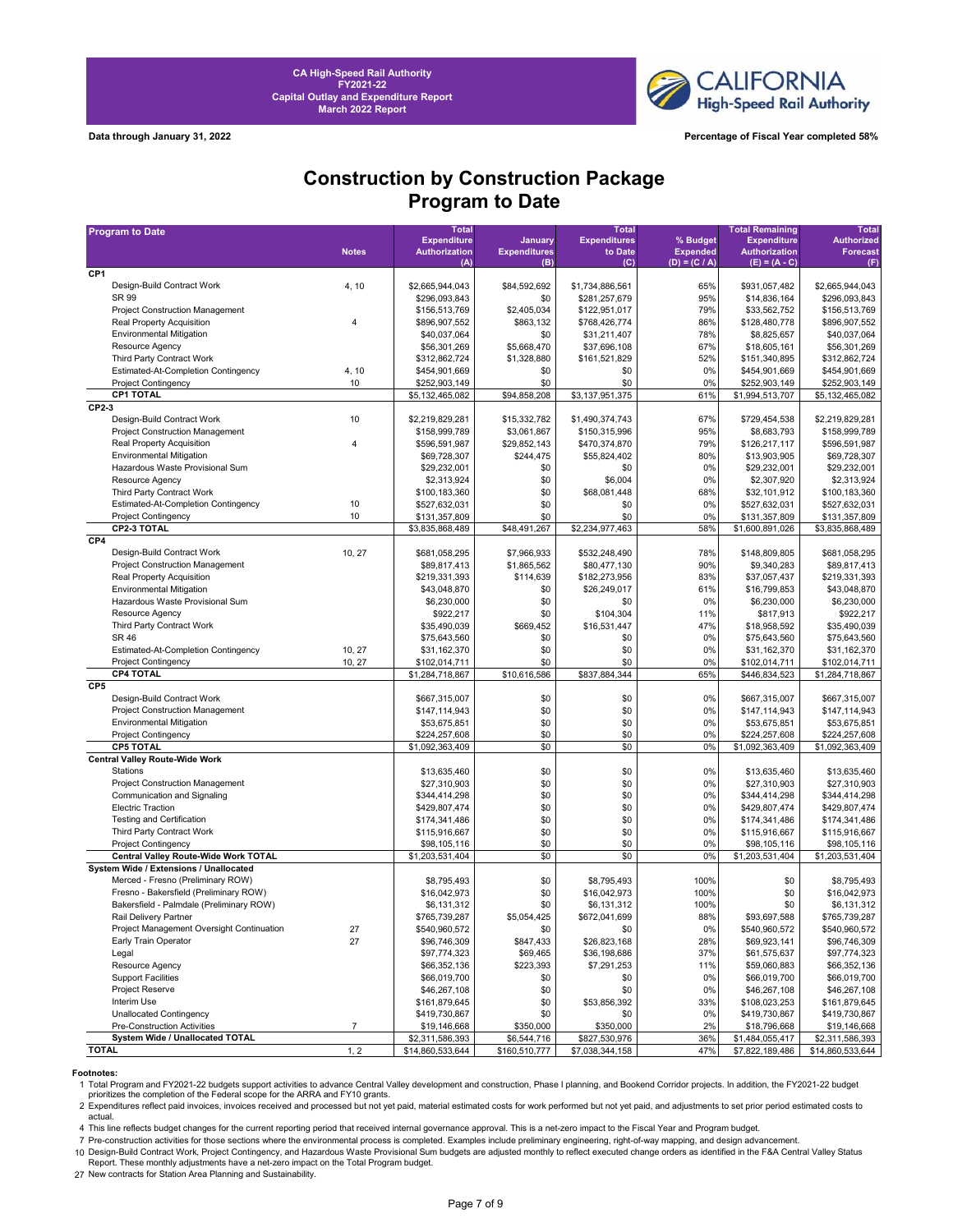

**Data through January 31, 2022 Percentage of Fiscal Year completed 58%**

### **Construction by Construction Package Program to Date**

| <b>Program to Date</b>                    |                | <b>Total</b>                |                            | <b>Total</b>        |                                    | <b>Total Remaining</b>                  | <b>Total</b>      |
|-------------------------------------------|----------------|-----------------------------|----------------------------|---------------------|------------------------------------|-----------------------------------------|-------------------|
|                                           |                | <b>Expenditure</b>          | January                    | <b>Expenditures</b> | % Budget                           | <b>Expenditure</b>                      | <b>Authorized</b> |
|                                           | <b>Notes</b>   | <b>Authorization</b><br>(A) | <b>Expenditures</b><br>(B) | to Date<br>(C)      | <b>Expended</b><br>$(D) = (C / A)$ | <b>Authorization</b><br>$(E) = (A - C)$ | <b>Forecast</b>   |
| CP1                                       |                |                             |                            |                     |                                    |                                         | (F)               |
| Design-Build Contract Work                | 4, 10          | \$2,665,944,043             | \$84,592,692               | \$1,734,886,561     | 65%                                | \$931,057,482                           | \$2,665,944,043   |
| SR 99                                     |                | \$296,093,843               | \$0                        | \$281,257,679       | 95%                                | \$14,836,164                            | \$296,093,843     |
| <b>Project Construction Management</b>    |                | \$156,513,769               | \$2,405,034                | \$122,951,017       | 79%                                | \$33,562,752                            | \$156,513,769     |
| Real Property Acquisition                 | 4              | \$896,907,552               | \$863,132                  | \$768,426,774       | 86%                                | \$128,480,778                           | \$896,907,552     |
| <b>Environmental Mitigation</b>           |                | \$40,037,064                | \$0                        | \$31,211,407        | 78%                                | \$8,825,657                             | \$40,037,064      |
| Resource Agency                           |                | \$56,301,269                | \$5,668,470                | \$37,696,108        | 67%                                | \$18,605,161                            | \$56,301,269      |
| Third Party Contract Work                 |                | \$312,862,724               | \$1,328,880                | \$161,521,829       | 52%                                | \$151,340,895                           | \$312,862,724     |
| Estimated-At-Completion Contingency       | 4, 10          | \$454,901,669               | \$0                        | \$0                 | 0%                                 | \$454,901,669                           | \$454,901,669     |
| <b>Project Contingency</b>                | 10             | \$252,903,149               | \$0                        | \$0                 | 0%                                 | \$252,903,149                           | \$252,903,149     |
| <b>CP1 TOTAL</b>                          |                | \$5,132,465,082             | \$94,858,208               | \$3,137,951,375     | 61%                                | \$1,994,513,707                         | \$5,132,465,082   |
| CP2-3                                     |                |                             |                            |                     |                                    |                                         |                   |
| Design-Build Contract Work                | 10             | \$2,219,829,281             | \$15,332,782               | \$1,490,374,743     | 67%                                | \$729,454,538                           | \$2,219,829,281   |
| Project Construction Management           |                | \$158,999,789               | \$3,061,867                | \$150,315,996       | 95%                                | \$8,683,793                             | \$158,999,789     |
| Real Property Acquisition                 | 4              | \$596,591,987               | \$29,852,143               | \$470,374,870       | 79%                                | \$126,217,117                           | \$596,591,987     |
| <b>Environmental Mitigation</b>           |                | \$69,728,307                | \$244,475                  | \$55,824,402        | 80%                                | \$13,903,905                            | \$69,728,307      |
| Hazardous Waste Provisional Sum           |                | \$29,232,001                | \$0                        | \$0                 | 0%                                 | \$29,232,001                            | \$29,232,001      |
| Resource Agency                           |                | \$2,313,924                 | \$0                        | \$6,004             | 0%                                 | \$2,307,920                             | \$2,313,924       |
| Third Party Contract Work                 |                | \$100,183,360               | \$0                        | \$68,081,448        | 68%                                | \$32,101,912                            | \$100,183,360     |
| Estimated-At-Completion Contingency       | 10             | \$527,632,031               | \$0                        | \$0                 | 0%                                 | \$527,632,031                           | \$527,632,031     |
| <b>Project Contingency</b>                | 10             | \$131,357,809               | \$0                        | \$0                 | 0%                                 | \$131,357,809                           | \$131,357,809     |
| CP2-3 TOTAL                               |                | \$3,835,868,489             | \$48,491,267               | \$2,234,977,463     | 58%                                | \$1,600,891,026                         | \$3,835,868,489   |
| CP4                                       |                |                             |                            |                     |                                    |                                         |                   |
| Design-Build Contract Work                | 10, 27         | \$681,058,295               | \$7,966,933                | \$532,248,490       | 78%                                | \$148,809,805                           | \$681,058,295     |
| Project Construction Management           |                | \$89,817,413                | \$1,865,562                | \$80,477,130        | 90%                                | \$9,340,283                             | \$89,817,413      |
| Real Property Acquisition                 |                | \$219,331,393               | \$114,639                  | \$182,273,956       | 83%                                | \$37,057,437                            | \$219,331,393     |
| <b>Environmental Mitigation</b>           |                | \$43,048,870                | \$0                        | \$26,249,017        | 61%                                | \$16,799,853                            | \$43,048,870      |
| Hazardous Waste Provisional Sum           |                | \$6,230,000                 | \$0                        | \$0                 | 0%                                 | \$6,230,000                             | \$6,230,000       |
| Resource Agency                           |                | \$922,217                   | \$0                        | \$104,304           | 11%                                | \$817,913                               | \$922,217         |
| Third Party Contract Work                 |                | \$35,490,039                | \$669,452                  | \$16,531,447        | 47%                                | \$18,958,592                            | \$35,490,039      |
| <b>SR 46</b>                              |                | \$75,643,560                | \$0                        | \$0                 | 0%                                 | \$75,643,560                            | \$75,643,560      |
| Estimated-At-Completion Contingency       | 10, 27         | \$31,162,370                | \$0                        | \$0                 | 0%                                 | \$31,162,370                            | \$31,162,370      |
| <b>Project Contingency</b>                | 10, 27         | \$102,014,711               | \$0                        | \$0                 | 0%                                 | \$102,014,711                           | \$102,014,711     |
| <b>CP4 TOTAL</b>                          |                | \$1,284,718,867             | \$10,616,586               | \$837,884,344       | 65%                                | \$446,834,523                           | \$1,284,718,867   |
| CP <sub>5</sub>                           |                |                             |                            |                     |                                    |                                         |                   |
| Design-Build Contract Work                |                | \$667,315,007               | \$0                        | \$0                 | 0%                                 | \$667,315,007                           | \$667,315,007     |
| Project Construction Management           |                | \$147,114,943               | \$0                        | \$0                 | 0%                                 | \$147,114,943                           | \$147,114,943     |
| <b>Environmental Mitigation</b>           |                | \$53,675,851                | \$0                        | \$0                 | 0%                                 | \$53,675,851                            | \$53,675,851      |
| <b>Project Contingency</b>                |                | \$224,257,608               | \$0                        | \$0                 | 0%                                 | \$224,257,608                           | \$224,257,608     |
| <b>CP5 TOTAL</b>                          |                | \$1,092,363,409             | \$0                        | \$0                 | 0%                                 | \$1,092,363,409                         | \$1,092,363,409   |
| <b>Central Valley Route-Wide Work</b>     |                |                             |                            |                     |                                    |                                         |                   |
| Stations                                  |                | \$13,635,460                | \$0                        | \$0                 | 0%                                 | \$13,635,460                            | \$13,635,460      |
| Project Construction Management           |                | \$27,310,903                | \$0                        | \$0                 | 0%                                 | \$27,310,903                            | \$27,310,903      |
| Communication and Signaling               |                | \$344,414,298               | \$0                        | \$0                 | 0%                                 | \$344,414,298                           | \$344,414,298     |
| <b>Electric Traction</b>                  |                | \$429,807,474               | \$0                        | \$0                 | 0%                                 | \$429,807,474                           | \$429,807,474     |
| <b>Testing and Certification</b>          |                | \$174,341,486               | \$0                        | \$0                 | 0%                                 | \$174,341,486                           | \$174,341,486     |
| Third Party Contract Work                 |                | \$115,916,667               | \$0                        | \$0                 | 0%                                 | \$115,916,667                           | \$115,916,667     |
| <b>Project Contingency</b>                |                | \$98,105,116                | \$0                        | \$0                 | 0%                                 | \$98,105,116                            | \$98,105,116      |
| Central Valley Route-Wide Work TOTAL      |                | \$1,203,531,404             | \$0                        | \$0                 | 0%                                 | \$1,203,531,404                         | \$1,203,531,404   |
| System Wide / Extensions / Unallocated    |                |                             |                            |                     |                                    |                                         |                   |
| Merced - Fresno (Preliminary ROW)         |                | \$8,795,493                 | \$0                        | \$8,795,493         | 100%                               | \$0                                     | \$8,795,493       |
| Fresno - Bakersfield (Preliminary ROW)    |                | \$16,042,973                | \$0                        | \$16,042,973        | 100%                               | \$0                                     | \$16,042,973      |
| Bakersfield - Palmdale (Preliminary ROW)  |                | \$6,131,312                 | \$0                        | \$6,131,312         | 100%                               | \$0                                     | \$6,131,312       |
| Rail Delivery Partner                     |                | \$765,739,287               | \$5,054,425                | \$672,041,699       | 88%                                | \$93,697,588                            | \$765,739,287     |
| Project Management Oversight Continuation | 27             | \$540,960,572               | \$0                        | \$0                 | 0%                                 | \$540,960,572                           | \$540,960,572     |
| Early Train Operator                      | 27             | \$96,746,309                | \$847,433                  | \$26,823,168        | 28%                                | \$69,923,141                            | \$96,746,309      |
| Legal                                     |                | \$97,774,323                | \$69,465                   | \$36,198,686        | 37%                                | \$61,575,637                            | \$97,774,323      |
| Resource Agency                           |                | \$66,352,136                | \$223,393                  | \$7,291,253         | 11%                                | \$59,060,883                            | \$66,352,136      |
| <b>Support Facilities</b>                 |                | \$66,019,700                | \$0                        | \$0                 | 0%                                 | \$66,019,700                            | \$66,019,700      |
| Project Reserve                           |                | \$46,267,108                | \$0                        | \$0                 | 0%                                 | \$46,267,108                            | \$46,267,108      |
| Interim Use                               |                | \$161,879,645               | \$0                        | \$53,856,392        | 33%                                | \$108,023,253                           | \$161,879,645     |
| <b>Unallocated Contingency</b>            |                | \$419,730,867               | \$0                        | \$0                 | 0%                                 | \$419,730,867                           | \$419,730,867     |
| Pre-Construction Activities               | $\overline{7}$ | \$19,146,668                | \$350,000                  | \$350,000           | 2%                                 | \$18,796,668                            | \$19,146,668      |
| <b>System Wide / Unallocated TOTAL</b>    |                | \$2,311,586,393             | \$6,544,716                | \$827,530,976       | 36%                                | \$1,484,055,417                         | \$2,311,586,393   |
| <b>TOTAL</b>                              | 1, 2           | \$14,860,533,644            | \$160,510,777              | \$7,038,344,158     | 47%                                | \$7,822,189,486                         | \$14,860,533,644  |

**Footnotes:**<br>1 Total Program and FY2021-22 budgets support activities to advance Central Valley development and construction, Phase I planning, and Bookend Corridor projects. In addition, the FY2021-22 budget prioritizes the completion of the Federal scope for the ARRA and FY10 grants.

2 Expenditures reflect paid invoices, invoices received and processed but not yet paid, material estimated costs for work performed but not yet paid, and adjustments to set prior period estimated costs to actual.

4 This line reflects budget changes for the current reporting period that received internal governance approval. This is a net-zero impact to the Fiscal Year and Program budget.

7 Pre-construction activities for those sections where the environmental process is completed. Examples include preliminary engineering, right-of-way mapping, and design advancement.

10 Design-Build Contract Work, Project Contingency, and Hazardous Waste Provisional Sum budgets are adjusted monthly to reflect executed change orders as identified in the F&A Central Valley Status<br>Report. These monthly ad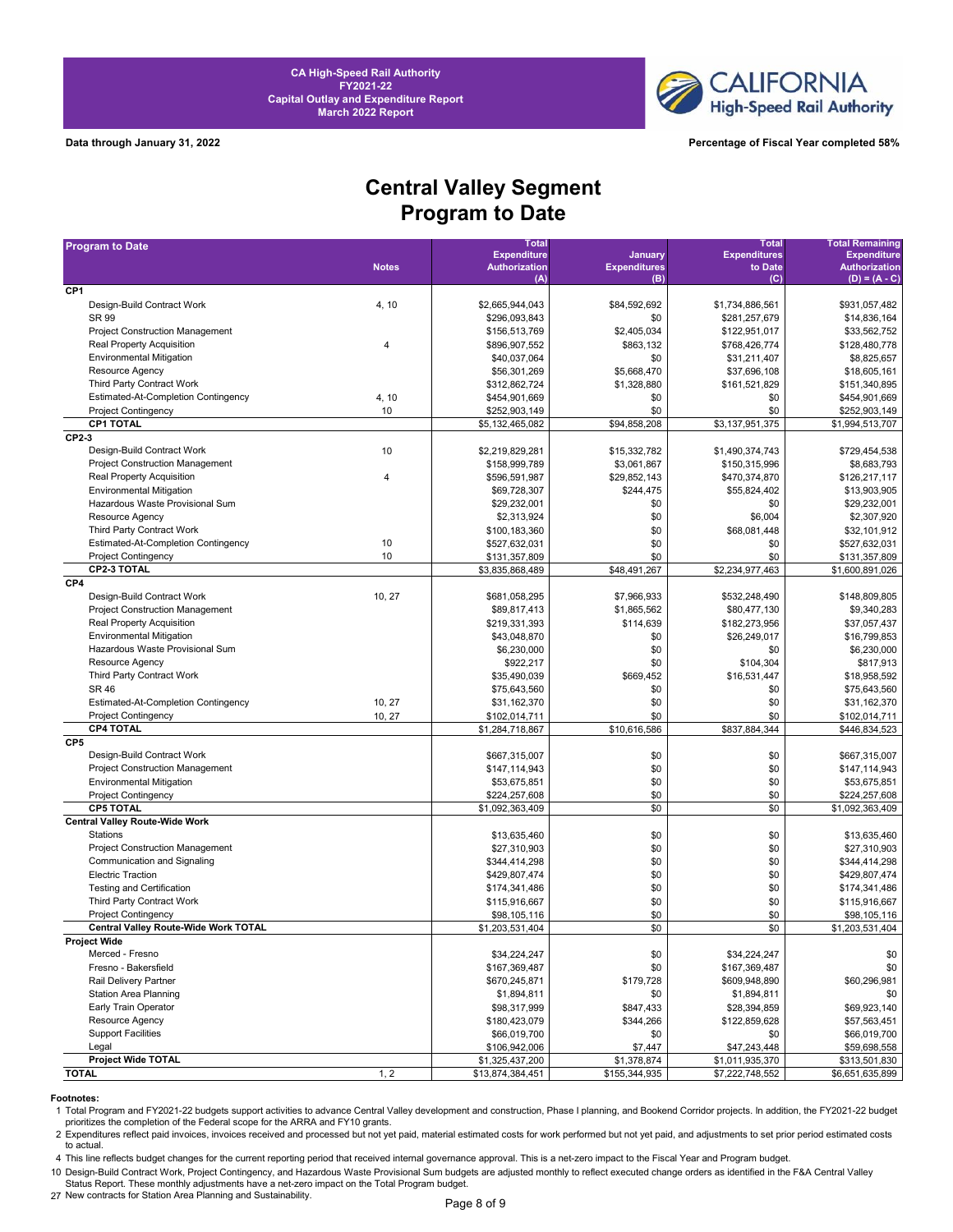



**Data through January 31, 2022 Percentage of Fiscal Year completed 58%**

# **Central Valley Segment Program to Date**

| <b>Program to Date</b>                     |                | <b>Total</b>         |                     | <b>Total</b>        | <b>Total Remaining</b> |
|--------------------------------------------|----------------|----------------------|---------------------|---------------------|------------------------|
|                                            |                | <b>Expenditure</b>   | January             | <b>Expenditures</b> | <b>Expenditure</b>     |
|                                            | <b>Notes</b>   | <b>Authorization</b> | <b>Expenditures</b> | to Date             | <b>Authorization</b>   |
| CP <sub>1</sub>                            |                | (A)                  | (B)                 | (C)                 | $(D) = (A - C)$        |
| Design-Build Contract Work                 | 4, 10          | \$2,665,944,043      | \$84,592,692        | \$1,734,886,561     | \$931,057,482          |
| <b>SR 99</b>                               |                | \$296,093,843        | \$0                 | \$281,257,679       | \$14,836,164           |
| <b>Project Construction Management</b>     |                | \$156,513,769        | \$2,405,034         | \$122,951,017       | \$33,562,752           |
| Real Property Acquisition                  | $\overline{4}$ | \$896,907,552        | \$863,132           | \$768,426,774       | \$128,480,778          |
| <b>Environmental Mitigation</b>            |                | \$40,037,064         | \$0                 | \$31,211,407        | \$8,825,657            |
| Resource Agency                            |                | \$56,301,269         | \$5,668,470         | \$37,696,108        | \$18,605,161           |
| Third Party Contract Work                  |                | \$312,862,724        | \$1,328,880         | \$161,521,829       | \$151,340,895          |
| <b>Estimated-At-Completion Contingency</b> | 4, 10          | \$454,901,669        | \$0                 | \$0                 | \$454,901,669          |
| <b>Project Contingency</b>                 | 10             | \$252,903,149        | \$0                 | \$0                 | \$252,903,149          |
| <b>CP1 TOTAL</b>                           |                | \$5,132,465,082      | \$94,858,208        | \$3,137,951,375     | \$1,994,513,707        |
| CP2-3                                      |                |                      |                     |                     |                        |
| Design-Build Contract Work                 | 10             | \$2,219,829,281      | \$15,332,782        | \$1,490,374,743     | \$729,454,538          |
| <b>Project Construction Management</b>     |                | \$158,999,789        | \$3,061,867         | \$150,315,996       | \$8.683.793            |
| Real Property Acquisition                  | $\overline{4}$ | \$596,591,987        | \$29,852,143        | \$470,374,870       | \$126,217,117          |
| <b>Environmental Mitigation</b>            |                |                      | \$244,475           |                     |                        |
| Hazardous Waste Provisional Sum            |                | \$69,728,307         |                     | \$55,824,402        | \$13,903,905           |
|                                            |                | \$29,232,001         | \$0                 | \$0                 | \$29,232,001           |
| Resource Agency                            |                | \$2,313,924          | \$0                 | \$6,004             | \$2,307,920            |
| Third Party Contract Work                  |                | \$100,183,360        | \$0                 | \$68,081,448        | \$32,101,912           |
| <b>Estimated-At-Completion Contingency</b> | 10             | \$527,632,031        | \$0                 | \$0                 | \$527,632,031          |
| <b>Project Contingency</b>                 | 10             | \$131,357,809        | \$0                 | \$0                 | \$131,357,809          |
| <b>CP2-3 TOTAL</b>                         |                | \$3,835,868,489      | \$48,491,267        | \$2,234,977,463     | \$1,600,891,026        |
| CP4                                        |                |                      |                     |                     |                        |
| Design-Build Contract Work                 | 10, 27         | \$681,058,295        | \$7,966,933         | \$532,248,490       | \$148,809,805          |
| <b>Project Construction Management</b>     |                | \$89,817,413         | \$1,865,562         | \$80,477,130        | \$9.340.283            |
| <b>Real Property Acquisition</b>           |                | \$219,331,393        | \$114,639           | \$182,273,956       | \$37,057,437           |
| <b>Environmental Mitigation</b>            |                | \$43,048,870         | \$0                 | \$26,249,017        | \$16,799,853           |
| Hazardous Waste Provisional Sum            |                | \$6,230,000          | \$0                 | \$0                 | \$6,230,000            |
| Resource Agency                            |                | \$922,217            | \$0                 | \$104,304           | \$817,913              |
| Third Party Contract Work                  |                | \$35,490,039         | \$669,452           | \$16,531,447        | \$18,958,592           |
| <b>SR 46</b>                               |                | \$75,643,560         | \$0                 | \$0                 | \$75,643,560           |
| <b>Estimated-At-Completion Contingency</b> | 10, 27         | \$31,162,370         | \$0                 | \$0                 | \$31,162,370           |
| <b>Project Contingency</b>                 | 10, 27         | \$102,014,711        | \$0                 | \$0                 | \$102,014,711          |
| <b>CP4 TOTAL</b>                           |                | \$1,284,718,867      | \$10,616,586        | \$837,884,344       | \$446,834,523          |
| CP5                                        |                |                      |                     |                     |                        |
| Design-Build Contract Work                 |                | \$667,315,007        | \$0                 | \$0                 | \$667,315,007          |
| <b>Project Construction Management</b>     |                | \$147,114,943        | \$0                 | \$0                 | \$147,114,943          |
| <b>Environmental Mitigation</b>            |                | \$53,675,851         | \$0                 | \$0                 | \$53,675,851           |
| <b>Project Contingency</b>                 |                | \$224,257,608        | \$0                 | \$0                 | \$224,257,608          |
| <b>CP5 TOTAL</b>                           |                | \$1,092,363,409      | \$0                 | \$0                 | \$1,092,363,409        |
| <b>Central Valley Route-Wide Work</b>      |                |                      |                     |                     |                        |
| <b>Stations</b>                            |                | \$13,635,460         | \$0                 | \$0                 | \$13,635,460           |
| <b>Project Construction Management</b>     |                | \$27.310.903         | \$0                 | \$0                 | \$27,310,903           |
| Communication and Signaling                |                | \$344,414,298        | \$0                 | \$0                 | \$344,414,298          |
| <b>Electric Traction</b>                   |                | \$429,807,474        | \$0                 | \$0                 | \$429,807,474          |
| <b>Testing and Certification</b>           |                | \$174,341,486        | \$0                 | \$0                 | \$174,341,486          |
| Third Party Contract Work                  |                | \$115,916,667        | \$0                 | \$0                 | \$115,916,667          |
| <b>Project Contingency</b>                 |                | \$98,105,116         | \$0                 | \$0                 | \$98,105,116           |
| Central Valley Route-Wide Work TOTAL       |                | \$1,203,531,404      | \$0                 | \$0                 | \$1,203,531,404        |
| <b>Project Wide</b>                        |                |                      |                     |                     |                        |
| Merced - Fresno                            |                | \$34,224,247         | \$0                 | \$34,224,247        | \$0                    |
| Fresno - Bakersfield                       |                | \$167,369,487        | \$0                 | \$167,369,487       | \$0                    |
| Rail Delivery Partner                      |                | \$670,245,871        | \$179,728           | \$609,948,890       | \$60,296,981           |
| <b>Station Area Planning</b>               |                | \$1,894,811          | \$0                 | \$1,894,811         | \$0                    |
| Early Train Operator                       |                | \$98,317,999         | \$847,433           | \$28,394,859        | \$69,923,140           |
| Resource Agency                            |                | \$180,423,079        | \$344,266           | \$122,859,628       | \$57,563,451           |
| <b>Support Facilities</b>                  |                | \$66,019,700         | \$0                 | \$0                 | \$66,019,700           |
| Legal                                      |                | \$106,942,006        | \$7,447             | \$47,243,448        | \$59,698,558           |
| Project Wide TOTAL                         |                | \$1,325,437,200      | \$1,378,874         | \$1,011,935,370     | \$313,501,830          |
| <b>TOTAL</b>                               | 1, 2           | \$13,874,384,451     | \$155,344,935       | \$7,222,748,552     | \$6,651,635,899        |

**Footnotes:**<br>1 Total Program and FY2021-22 budgets support activities to advance Central Valley development and construction, Phase I planning, and Bookend Corridor projects. In addition, the FY2021-22 budget prioritizes the completion of the Federal scope for the ARRA and FY10 grants.

2 Expenditures reflect paid invoices, invoices received and processed but not yet paid, material estimated costs for work performed but not yet paid, and adjustments to set prior period estimated costs to actual.

4 This line reflects budget changes for the current reporting period that received internal governance approval. This is a net-zero impact to the Fiscal Year and Program budget.

10 Design-Build Contract Work, Project Contingency, and Hazardous Waste Provisional Sum budgets are adjusted monthly to reflect executed change orders as identified in the F&A Central Valley<br>Status Report. These monthly ad